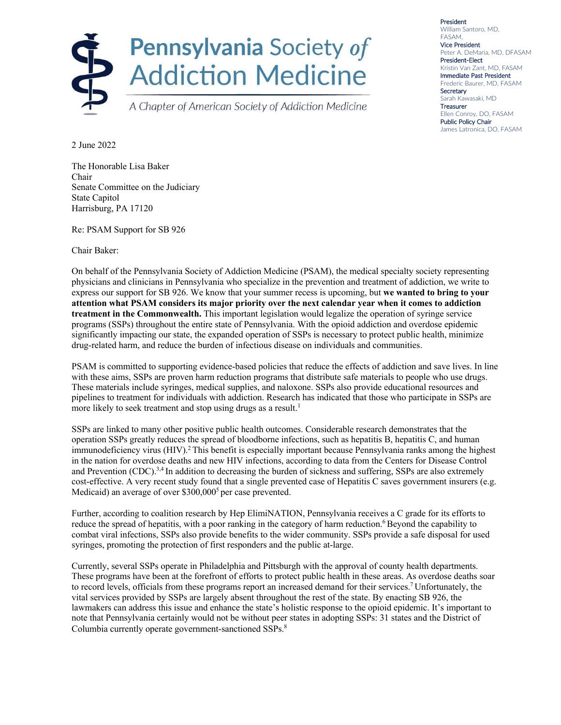

President William Santoro, MD, FASAM, Vice President Peter A. DeMaria, MD, DFASAM President-Elect Kristin Van Zant, MD, FASAM Immediate Past President Frederic Baurer, MD, FASAM **Secretary** Sarah Kawasaki, MD Treasurer Ellen Conroy, DO, FASAM Public Policy Chair James Latronica, DO, FASAM

2 June 2022

The Honorable Lisa Baker Chair Senate Committee on the Judiciary State Capitol Harrisburg, PA 17120

Re: PSAM Support for SB 926

Chair Baker:

On behalf of the Pennsylvania Society of Addiction Medicine (PSAM), the medical specialty society representing physicians and clinicians in Pennsylvania who specialize in the prevention and treatment of addiction, we write to express our support for SB 926. We know that your summer recess is upcoming, but **we wanted to bring to your attention what PSAM considers its major priority over the next calendar year when it comes to addiction treatment in the Commonwealth.** This important legislation would legalize the operation of syringe service programs (SSPs) throughout the entire state of Pennsylvania. With the opioid addiction and overdose epidemic significantly impacting our state, the expanded operation of SSPs is necessary to protect public health, minimize drug-related harm, and reduce the burden of infectious disease on individuals and communities.

PSAM is committed to supporting evidence-based policies that reduce the effects of addiction and save lives. In line with these aims, SSPs are proven harm reduction programs that distribute safe materials to people who use drugs. These materials include syringes, medical supplies, and naloxone. SSPs also provide educational resources and pipelines to treatment for individuals with addiction. Research has indicated that those who participate in SSPs are more likely to seek treatment and stop using drugs as a result.<sup>1</sup>

SSPs are linked to many other positive public health outcomes. Considerable research demonstrates that the operation SSPs greatly reduces the spread of bloodborne infections, such as hepatitis B, hepatitis C, and human immunodeficiency virus (HIV).<sup>2</sup> This benefit is especially important because Pennsylvania ranks among the highest in the nation for overdose deaths and new HIV infections, according to data from the Centers for Disease Control and Prevention (CDC).<sup>3,4</sup> In addition to decreasing the burden of sickness and suffering, SSPs are also extremely cost-effective. A very recent study found that a single prevented case of Hepatitis C saves government insurers (e.g. Medicaid) an average of over \$300,000<sup>5</sup> per case prevented.

Further, according to coalition research by Hep ElimiNATION, Pennsylvania receives a C grade for its efforts to reduce the spread of hepatitis, with a poor ranking in the category of harm reduction.<sup>6</sup> Beyond the capability to combat viral infections, SSPs also provide benefits to the wider community. SSPs provide a safe disposal for used syringes, promoting the protection of first responders and the public at-large.

Currently, several SSPs operate in Philadelphia and Pittsburgh with the approval of county health departments. These programs have been at the forefront of efforts to protect public health in these areas. As overdose deaths soar to record levels, officials from these programs report an increased demand for their services.7 Unfortunately, the vital services provided by SSPs are largely absent throughout the rest of the state. By enacting SB 926, the lawmakers can address this issue and enhance the state's holistic response to the opioid epidemic. It's important to note that Pennsylvania certainly would not be without peer states in adopting SSPs: 31 states and the District of Columbia currently operate government-sanctioned SSPs.8